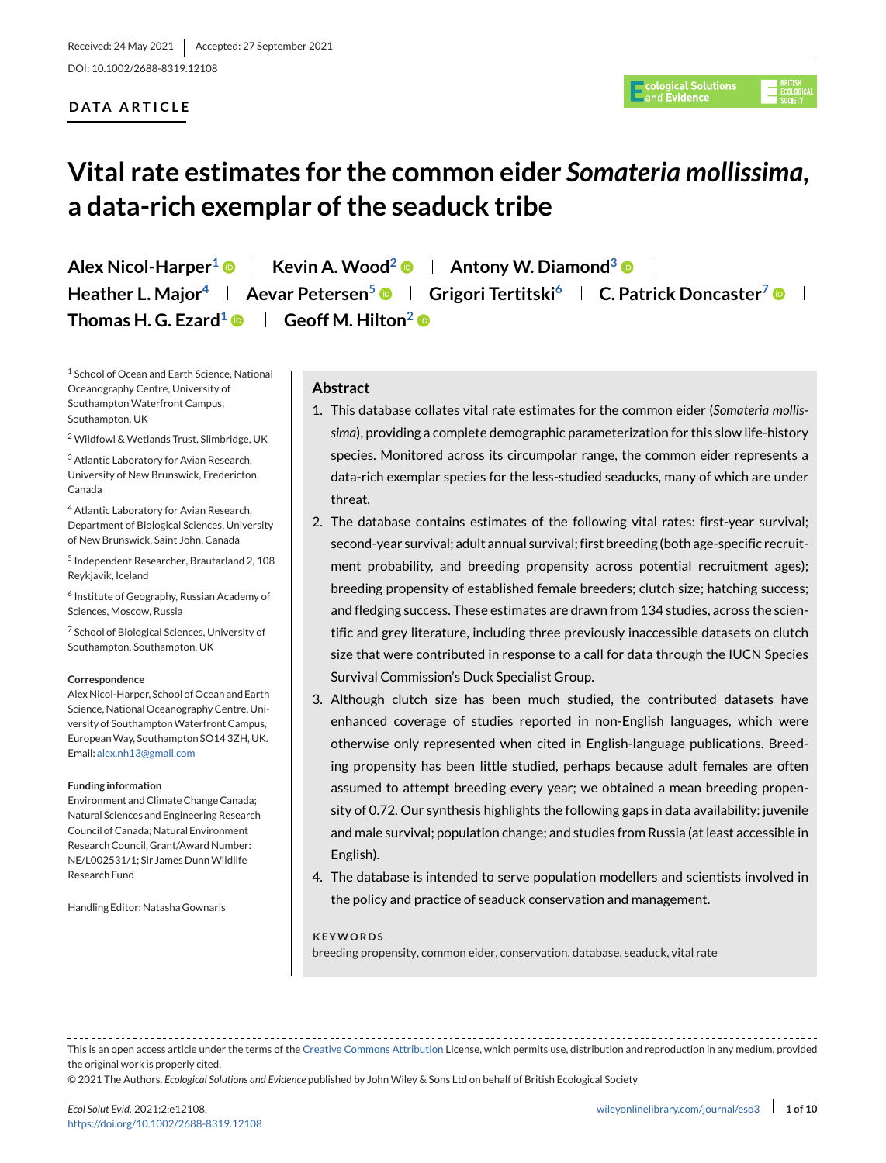DOI: 10.1002/2688-8319.12108

# **DATA ARTICLE**

# **Vital rate estimates for the common eider** *Somateria mollissima***, a data-rich exemplar of the seaduck tribe**

**Alex Nicol-Harper<sup>1</sup>**  $\bullet$  **| Kevin A. Wood<sup>2</sup>**  $\bullet$  **| Antony W. Diamond<sup>3</sup>**  $\bullet$  **| Heather L. Maior<sup>4</sup> | Aevar Petersen<sup>5</sup>**  $\bullet$  **| Grigori Tertitski<sup>6</sup> | C. Patrick Doncaster<sup>7</sup>**  $\bullet$  **| Thomas H. G. Ezard<sup>1</sup> © | Geoff M. Hilton<sup>2</sup> ©** 

<sup>1</sup> School of Ocean and Earth Science, National Oceanography Centre, University of Southampton Waterfront Campus, Southampton, UK

<sup>2</sup> Wildfowl & Wetlands Trust, Slimbridge, UK

<sup>3</sup> Atlantic Laboratory for Avian Research, University of New Brunswick, Fredericton, Canada

<sup>4</sup> Atlantic Laboratory for Avian Research, Department of Biological Sciences, University of New Brunswick, Saint John, Canada

<sup>5</sup> Independent Researcher, Brautarland 2, 108 Reykjavik, Iceland

<sup>6</sup> Institute of Geography, Russian Academy of Sciences, Moscow, Russia

<sup>7</sup> School of Biological Sciences, University of Southampton, Southampton, UK

#### **Correspondence**

Alex Nicol-Harper, School of Ocean and Earth Science, National Oceanography Centre, University of SouthamptonWaterfront Campus, EuropeanWay, Southampton SO14 3ZH, UK. Email: [alex.nh13@gmail.com](mailto:alex.nh13@gmail.com)

#### **Funding information**

Environment and Climate Change Canada; Natural Sciences and Engineering Research Council of Canada; Natural Environment Research Council, Grant/Award Number: NE/L002531/1; Sir James DunnWildlife Research Fund

Handling Editor: Natasha Gownaris

# **Abstract**

- 1. This database collates vital rate estimates for the common eider (*Somateria mollissima*), providing a complete demographic parameterization for this slow life-history species. Monitored across its circumpolar range, the common eider represents a data-rich exemplar species for the less-studied seaducks, many of which are under threat.
- 2. The database contains estimates of the following vital rates: first-year survival; second-year survival; adult annual survival; first breeding (both age-specific recruitment probability, and breeding propensity across potential recruitment ages); breeding propensity of established female breeders; clutch size; hatching success; and fledging success. These estimates are drawn from 134 studies, across the scientific and grey literature, including three previously inaccessible datasets on clutch size that were contributed in response to a call for data through the IUCN Species Survival Commission's Duck Specialist Group.
- 3. Although clutch size has been much studied, the contributed datasets have enhanced coverage of studies reported in non-English languages, which were otherwise only represented when cited in English-language publications. Breeding propensity has been little studied, perhaps because adult females are often assumed to attempt breeding every year; we obtained a mean breeding propensity of 0.72. Our synthesis highlights the following gaps in data availability: juvenile and male survival; population change; and studies from Russia (at least accessible in English).
- 4. The database is intended to serve population modellers and scientists involved in the policy and practice of seaduck conservation and management.

#### **KEYWORDS**

breeding propensity, common eider, conservation, database, seaduck, vital rate

This is an open access article under the terms of the [Creative Commons Attribution](http://creativecommons.org/licenses/by/4.0/) License, which permits use, distribution and reproduction in any medium, provided the original work is properly cited.

© 2021 The Authors. *Ecological Solutions and Evidence* published by John Wiley & Sons Ltd on behalf of British Ecological Society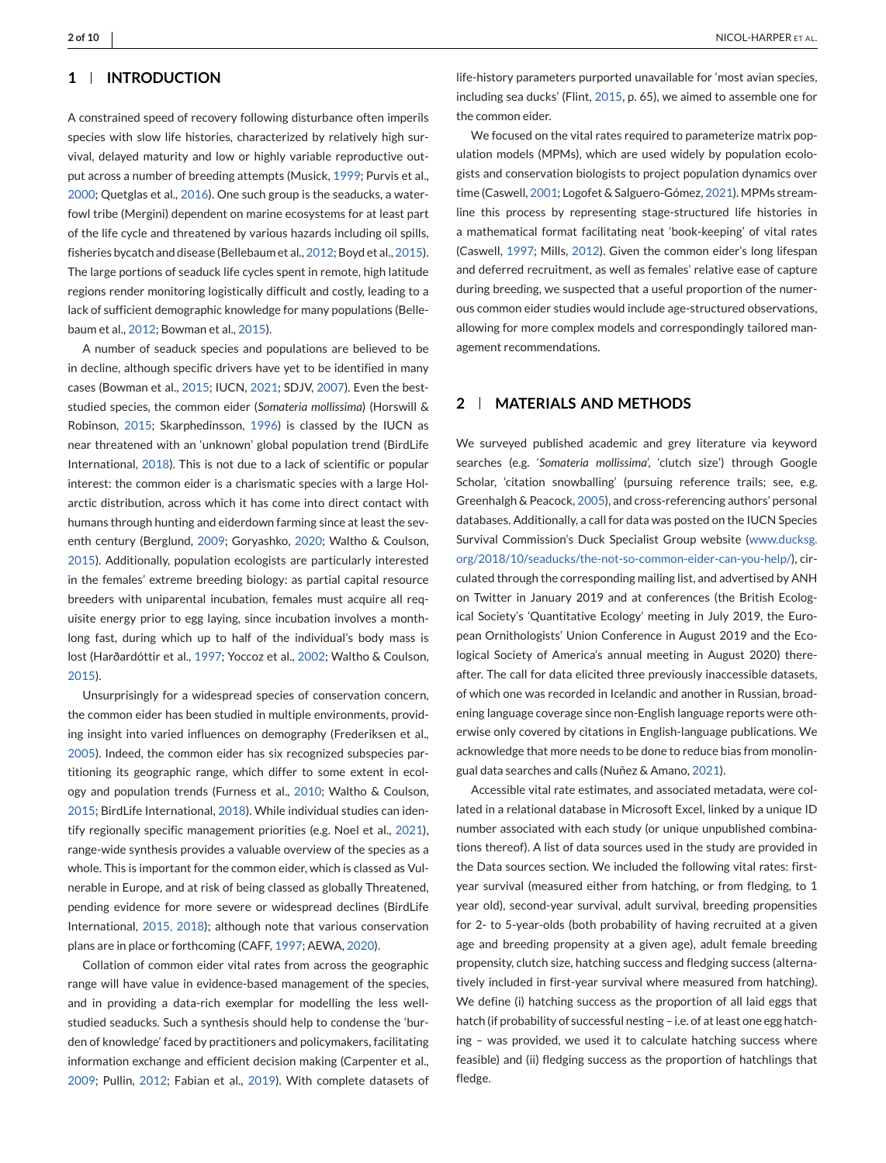# **1 INTRODUCTION**

A constrained speed of recovery following disturbance often imperils species with slow life histories, characterized by relatively high survival, delayed maturity and low or highly variable reproductive output across a number of breeding attempts (Musick, [1999;](#page-4-0) Purvis et al., [2000;](#page-5-0) Quetglas et al., [2016\)](#page-5-0). One such group is the seaducks, a waterfowl tribe (Mergini) dependent on marine ecosystems for at least part of the life cycle and threatened by various hazards including oil spills, fisheries bycatch and disease (Bellebaum et al., [2012;](#page-4-0) Boyd et al., [2015\)](#page-4-0). The large portions of seaduck life cycles spent in remote, high latitude regions render monitoring logistically difficult and costly, leading to a lack of sufficient demographic knowledge for many populations (Bellebaum et al., [2012;](#page-4-0) Bowman et al., [2015\)](#page-4-0).

A number of seaduck species and populations are believed to be in decline, although specific drivers have yet to be identified in many cases (Bowman et al., [2015;](#page-4-0) IUCN, [2021;](#page-4-0) SDJV, [2007\)](#page-5-0). Even the beststudied species, the common eider (*Somateria mollissima*) (Horswill & Robinson, [2015;](#page-4-0) Skarphedinsson, [1996\)](#page-5-0) is classed by the IUCN as near threatened with an 'unknown' global population trend (BirdLife International, [2018\)](#page-4-0). This is not due to a lack of scientific or popular interest: the common eider is a charismatic species with a large Holarctic distribution, across which it has come into direct contact with humans through hunting and eiderdown farming since at least the seventh century (Berglund, [2009;](#page-4-0) Goryashko, [2020;](#page-4-0) Waltho & Coulson, [2015\)](#page-5-0). Additionally, population ecologists are particularly interested in the females' extreme breeding biology: as partial capital resource breeders with uniparental incubation, females must acquire all requisite energy prior to egg laying, since incubation involves a monthlong fast, during which up to half of the individual's body mass is lost (Harðardóttir et al., [1997;](#page-4-0) Yoccoz et al., [2002;](#page-5-0) Waltho & Coulson, [2015\)](#page-5-0).

Unsurprisingly for a widespread species of conservation concern, the common eider has been studied in multiple environments, providing insight into varied influences on demography (Frederiksen et al., [2005\)](#page-4-0). Indeed, the common eider has six recognized subspecies partitioning its geographic range, which differ to some extent in ecology and population trends (Furness et al., [2010;](#page-4-0) Waltho & Coulson, [2015;](#page-5-0) BirdLife International, [2018\)](#page-4-0). While individual studies can identify regionally specific management priorities (e.g. Noel et al., [2021\)](#page-5-0), range-wide synthesis provides a valuable overview of the species as a whole. This is important for the common eider, which is classed as Vulnerable in Europe, and at risk of being classed as globally Threatened, pending evidence for more severe or widespread declines (BirdLife International, [2015, 2018\)](#page-4-0); although note that various conservation plans are in place or forthcoming (CAFF, [1997;](#page-4-0) AEWA, [2020\)](#page-4-0).

Collation of common eider vital rates from across the geographic range will have value in evidence-based management of the species, and in providing a data-rich exemplar for modelling the less wellstudied seaducks. Such a synthesis should help to condense the 'burden of knowledge' faced by practitioners and policymakers, facilitating information exchange and efficient decision making (Carpenter et al., [2009;](#page-4-0) Pullin, [2012;](#page-5-0) Fabian et al., [2019\)](#page-4-0). With complete datasets of

life-history parameters purported unavailable for 'most avian species, including sea ducks' (Flint, [2015,](#page-4-0) p. 65), we aimed to assemble one for the common eider.

We focused on the vital rates required to parameterize matrix population models (MPMs), which are used widely by population ecologists and conservation biologists to project population dynamics over time (Caswell, [2001;](#page-4-0) Logofet & Salguero-Gómez, [2021\)](#page-4-0). MPMs streamline this process by representing stage-structured life histories in a mathematical format facilitating neat 'book-keeping' of vital rates (Caswell, [1997;](#page-4-0) Mills, [2012\)](#page-4-0). Given the common eider's long lifespan and deferred recruitment, as well as females' relative ease of capture during breeding, we suspected that a useful proportion of the numerous common eider studies would include age-structured observations, allowing for more complex models and correspondingly tailored management recommendations.

# **2 MATERIALS AND METHODS**

We surveyed published academic and grey literature via keyword searches (e.g. '*Somateria mollissima*', 'clutch size') through Google Scholar, 'citation snowballing' (pursuing reference trails; see, e.g. Greenhalgh & Peacock, [2005\)](#page-4-0), and cross-referencing authors' personal databases. Additionally, a call for data was posted on the IUCN Species Survival Commission's Duck Specialist Group website [\(www.ducksg.](http://www.ducksg.org/2018/10/seaducks/the-not-so-common-eider-can-you-help/) [org/2018/10/seaducks/the-not-so-common-eider-can-you-help/\)](http://www.ducksg.org/2018/10/seaducks/the-not-so-common-eider-can-you-help/), circulated through the corresponding mailing list, and advertised by ANH on Twitter in January 2019 and at conferences (the British Ecological Society's 'Quantitative Ecology' meeting in July 2019, the European Ornithologists' Union Conference in August 2019 and the Ecological Society of America's annual meeting in August 2020) thereafter. The call for data elicited three previously inaccessible datasets, of which one was recorded in Icelandic and another in Russian, broadening language coverage since non-English language reports were otherwise only covered by citations in English-language publications. We acknowledge that more needs to be done to reduce bias from monolingual data searches and calls (Nuñez & Amano, [2021\)](#page-5-0).

Accessible vital rate estimates, and associated metadata, were collated in a relational database in Microsoft Excel, linked by a unique ID number associated with each study (or unique unpublished combinations thereof). A list of data sources used in the study are provided in the Data sources section. We included the following vital rates: firstyear survival (measured either from hatching, or from fledging, to 1 year old), second-year survival, adult survival, breeding propensities for 2- to 5-year-olds (both probability of having recruited at a given age and breeding propensity at a given age), adult female breeding propensity, clutch size, hatching success and fledging success (alternatively included in first-year survival where measured from hatching). We define (i) hatching success as the proportion of all laid eggs that hatch (if probability of successful nesting – i.e. of at least one egg hatching – was provided, we used it to calculate hatching success where feasible) and (ii) fledging success as the proportion of hatchlings that fledge.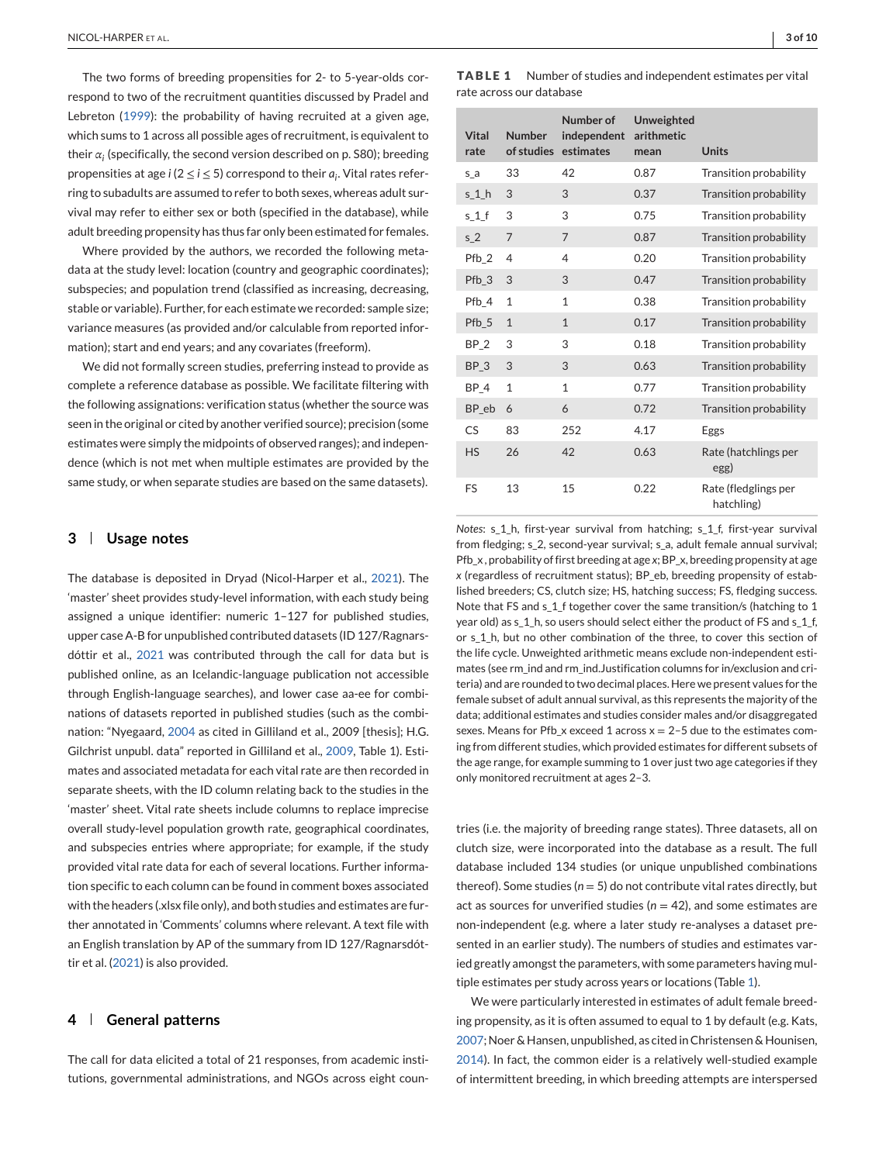<span id="page-2-0"></span>The two forms of breeding propensities for 2- to 5-year-olds correspond to two of the recruitment quantities discussed by Pradel and Lebreton [\(1999\)](#page-5-0): the probability of having recruited at a given age, which sums to 1 across all possible ages of recruitment, is equivalent to their  $\alpha_i$  (specifically, the second version described on p. S80); breeding propensities at age *i* ( $2 \le i \le 5$ ) correspond to their  $a_i$ . Vital rates referring to subadults are assumed to refer to both sexes, whereas adult survival may refer to either sex or both (specified in the database), while adult breeding propensity has thus far only been estimated for females.

Where provided by the authors, we recorded the following metadata at the study level: location (country and geographic coordinates); subspecies; and population trend (classified as increasing, decreasing, stable or variable). Further, for each estimate we recorded: sample size; variance measures (as provided and/or calculable from reported information); start and end years; and any covariates (freeform).

We did not formally screen studies, preferring instead to provide as complete a reference database as possible. We facilitate filtering with the following assignations: verification status (whether the source was seen in the original or cited by another verified source); precision (some estimates were simply the midpoints of observed ranges); and independence (which is not met when multiple estimates are provided by the same study, or when separate studies are based on the same datasets).

## **3 Usage notes**

The database is deposited in Dryad (Nicol-Harper et al., [2021\)](#page-4-0). The 'master' sheet provides study-level information, with each study being assigned a unique identifier: numeric 1–127 for published studies, upper case A-B for unpublished contributed datasets (ID 127/Ragnarsdóttir et al., [2021](#page-5-0) was contributed through the call for data but is published online, as an Icelandic-language publication not accessible through English-language searches), and lower case aa-ee for combinations of datasets reported in published studies (such as the combination: "Nyegaard, [2004](#page-5-0) as cited in Gilliland et al., 2009 [thesis]; H.G. Gilchrist unpubl. data" reported in Gilliland et al., [2009,](#page-4-0) Table 1). Estimates and associated metadata for each vital rate are then recorded in separate sheets, with the ID column relating back to the studies in the 'master' sheet. Vital rate sheets include columns to replace imprecise overall study-level population growth rate, geographical coordinates, and subspecies entries where appropriate; for example, if the study provided vital rate data for each of several locations. Further information specific to each column can be found in comment boxes associated with the headers (.xlsx file only), and both studies and estimates are further annotated in 'Comments' columns where relevant. A text file with an English translation by AP of the summary from ID 127/Ragnarsdóttir et al. [\(2021\)](#page-5-0) is also provided.

## **4 General patterns**

The call for data elicited a total of 21 responses, from academic institutions, governmental administrations, and NGOs across eight coun**TABLE 1** Number of studies and independent estimates per vital rate across our database

| <b>Vital</b><br>rate | <b>Number</b><br>of studies | Number of<br>independent<br>estimates | Unweighted<br>arithmetic<br>mean | <b>Units</b>                       |
|----------------------|-----------------------------|---------------------------------------|----------------------------------|------------------------------------|
| $S_a$                | 33                          | 42                                    | 0.87                             | Transition probability             |
| s <sub>1</sub> h     | 3                           | 3                                     | 0.37                             | Transition probability             |
| s 1 f                | 3                           | 3                                     | 0.75                             | Transition probability             |
| s <sub>2</sub>       | 7                           | 7                                     | 0.87                             | Transition probability             |
| Pfb_2                | 4                           | 4                                     | 0.20                             | Transition probability             |
| Pfb_3                | 3                           | 3                                     | 0.47                             | Transition probability             |
| Pfb 4                | $\mathbf{1}$                | $\mathbf{1}$                          | 0.38                             | Transition probability             |
| Pfb_5                | $\mathbf{1}$                | $\mathbf{1}$                          | 0.17                             | Transition probability             |
| BP <sub>2</sub>      | 3                           | 3                                     | 0.18                             | Transition probability             |
| BP <sub>3</sub>      | 3                           | 3                                     | 0.63                             | Transition probability             |
| BP <sub>4</sub>      | $\mathbf{1}$                | $\mathbf{1}$                          | 0.77                             | Transition probability             |
| BP eb                | 6                           | 6                                     | 0.72                             | Transition probability             |
| CS                   | 83                          | 252                                   | 4.17                             | Eggs                               |
| <b>HS</b>            | 26                          | 42                                    | 0.63                             | Rate (hatchlings per<br>egg)       |
| FS                   | 13                          | 15                                    | 0.22                             | Rate (fledglings per<br>hatchling) |

*Notes*: s\_1\_h, first-year survival from hatching; s\_1\_f, first-year survival from fledging; s\_2, second-year survival; s\_a, adult female annual survival; Pfb\_x , probability of first breeding at age *x*; BP\_x, breeding propensity at age *x* (regardless of recruitment status); BP\_eb, breeding propensity of established breeders; CS, clutch size; HS, hatching success; FS, fledging success. Note that FS and s\_1\_f together cover the same transition/s (hatching to 1 year old) as s\_1\_h, so users should select either the product of FS and s\_1\_f, or s\_1\_h, but no other combination of the three, to cover this section of the life cycle. Unweighted arithmetic means exclude non-independent estimates (see rm\_ind and rm\_ind.Justification columns for in/exclusion and criteria) and are rounded to two decimal places. Here we present values for the female subset of adult annual survival, as this represents the majority of the data; additional estimates and studies consider males and/or disaggregated sexes. Means for Pfb\_x exceed 1 across  $x = 2-5$  due to the estimates coming from different studies, which provided estimates for different subsets of the age range, for example summing to 1 over just two age categories if they only monitored recruitment at ages 2–3.

tries (i.e. the majority of breeding range states). Three datasets, all on clutch size, were incorporated into the database as a result. The full database included 134 studies (or unique unpublished combinations thereof). Some studies ( $n = 5$ ) do not contribute vital rates directly, but act as sources for unverified studies ( $n = 42$ ), and some estimates are non-independent (e.g. where a later study re-analyses a dataset presented in an earlier study). The numbers of studies and estimates varied greatly amongst the parameters, with some parameters having multiple estimates per study across years or locations (Table 1).

We were particularly interested in estimates of adult female breeding propensity, as it is often assumed to equal to 1 by default (e.g. Kats, [2007;](#page-4-0) Noer & Hansen, unpublished, as cited in Christensen & Hounisen, [2014\)](#page-4-0). In fact, the common eider is a relatively well-studied example of intermittent breeding, in which breeding attempts are interspersed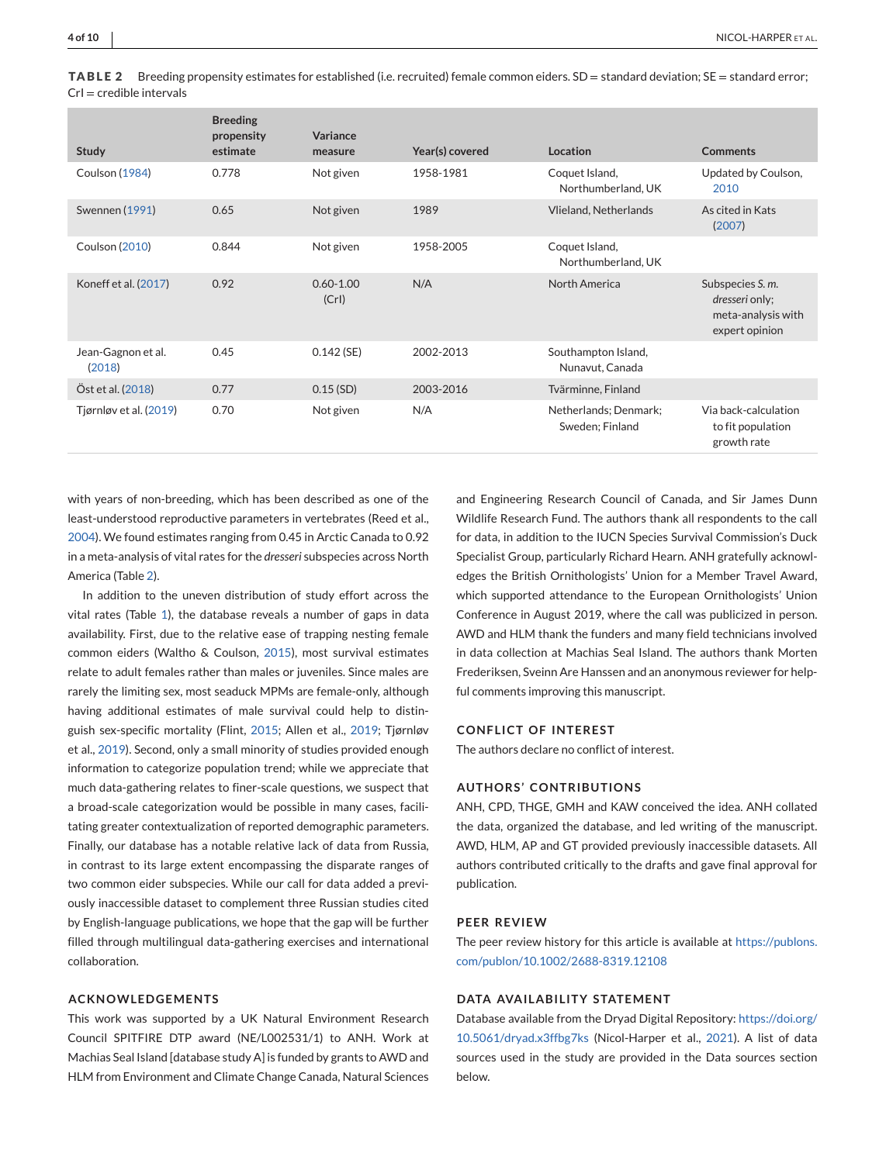**TABLE 2** Breeding propensity estimates for established (i.e. recruited) female common eiders. SD = standard deviation; SE = standard error;  $CrI = c$ redible intervals

| <b>Study</b>                 | <b>Breeding</b><br>propensity<br>estimate | Variance<br>measure   | Year(s) covered | Location                                 | <b>Comments</b>                                                            |
|------------------------------|-------------------------------------------|-----------------------|-----------------|------------------------------------------|----------------------------------------------------------------------------|
| Coulson (1984)               | 0.778                                     | Not given             | 1958-1981       | Coquet Island,<br>Northumberland, UK     | Updated by Coulson,<br>2010                                                |
| Swennen (1991)               | 0.65                                      | Not given             | 1989            | Vlieland, Netherlands                    | As cited in Kats<br>(2007)                                                 |
| <b>Coulson (2010)</b>        | 0.844                                     | Not given             | 1958-2005       | Coquet Island,<br>Northumberland, UK     |                                                                            |
| Koneff et al. (2017)         | 0.92                                      | $0.60 - 1.00$<br>(Cr) | N/A             | North America                            | Subspecies S. m.<br>dresseri only;<br>meta-analysis with<br>expert opinion |
| Jean-Gagnon et al.<br>(2018) | 0.45                                      | $0.142$ (SE)          | 2002-2013       | Southampton Island,<br>Nunavut, Canada   |                                                                            |
| Öst et al. (2018)            | 0.77                                      | $0.15$ (SD)           | 2003-2016       | Tvärminne, Finland                       |                                                                            |
| Tjørnløv et al. (2019)       | 0.70                                      | Not given             | N/A             | Netherlands; Denmark;<br>Sweden: Finland | Via back-calculation<br>to fit population<br>growth rate                   |

with years of non-breeding, which has been described as one of the least-understood reproductive parameters in vertebrates (Reed et al., [2004\)](#page-5-0). We found estimates ranging from 0.45 in Arctic Canada to 0.92 in a meta-analysis of vital rates for the *dresseri* subspecies across North America (Table 2).

In addition to the uneven distribution of study effort across the vital rates (Table [1\)](#page-2-0), the database reveals a number of gaps in data availability. First, due to the relative ease of trapping nesting female common eiders (Waltho & Coulson, [2015\)](#page-5-0), most survival estimates relate to adult females rather than males or juveniles. Since males are rarely the limiting sex, most seaduck MPMs are female-only, although having additional estimates of male survival could help to distinguish sex-specific mortality (Flint, [2015;](#page-4-0) Allen et al., [2019;](#page-4-0) Tjørnløv et al., [2019\)](#page-5-0). Second, only a small minority of studies provided enough information to categorize population trend; while we appreciate that much data-gathering relates to finer-scale questions, we suspect that a broad-scale categorization would be possible in many cases, facilitating greater contextualization of reported demographic parameters. Finally, our database has a notable relative lack of data from Russia, in contrast to its large extent encompassing the disparate ranges of two common eider subspecies. While our call for data added a previously inaccessible dataset to complement three Russian studies cited by English-language publications, we hope that the gap will be further filled through multilingual data-gathering exercises and international collaboration.

#### **ACKNOWLEDGEMENTS**

This work was supported by a UK Natural Environment Research Council SPITFIRE DTP award (NE/L002531/1) to ANH. Work at Machias Seal Island [database study A] is funded by grants to AWD and HLM from Environment and Climate Change Canada, Natural Sciences

and Engineering Research Council of Canada, and Sir James Dunn Wildlife Research Fund. The authors thank all respondents to the call for data, in addition to the IUCN Species Survival Commission's Duck Specialist Group, particularly Richard Hearn. ANH gratefully acknowledges the British Ornithologists' Union for a Member Travel Award, which supported attendance to the European Ornithologists' Union Conference in August 2019, where the call was publicized in person. AWD and HLM thank the funders and many field technicians involved in data collection at Machias Seal Island. The authors thank Morten Frederiksen, Sveinn Are Hanssen and an anonymous reviewer for helpful comments improving this manuscript.

## **CONFLICT OF INTEREST**

The authors declare no conflict of interest.

#### **AUTHORS' CONTRIBUTIONS**

ANH, CPD, THGE, GMH and KAW conceived the idea. ANH collated the data, organized the database, and led writing of the manuscript. AWD, HLM, AP and GT provided previously inaccessible datasets. All authors contributed critically to the drafts and gave final approval for publication.

#### **PEER REVIEW**

The peer review history for this article is available at [https://publons.](https://publons.com/publon/10.1002/2688-8319.12108) [com/publon/10.1002/2688-8319.12108](https://publons.com/publon/10.1002/2688-8319.12108)

## **DATA AVAILABILITY STATEMENT**

Database available from the Dryad Digital Repository: [https://doi.org/](https://doi.org/10.5061/dryad.x3ffbg7ks) [10.5061/dryad.x3ffbg7ks](https://doi.org/10.5061/dryad.x3ffbg7ks) (Nicol-Harper et al., [2021\)](#page-4-0). A list of data sources used in the study are provided in the Data sources section below.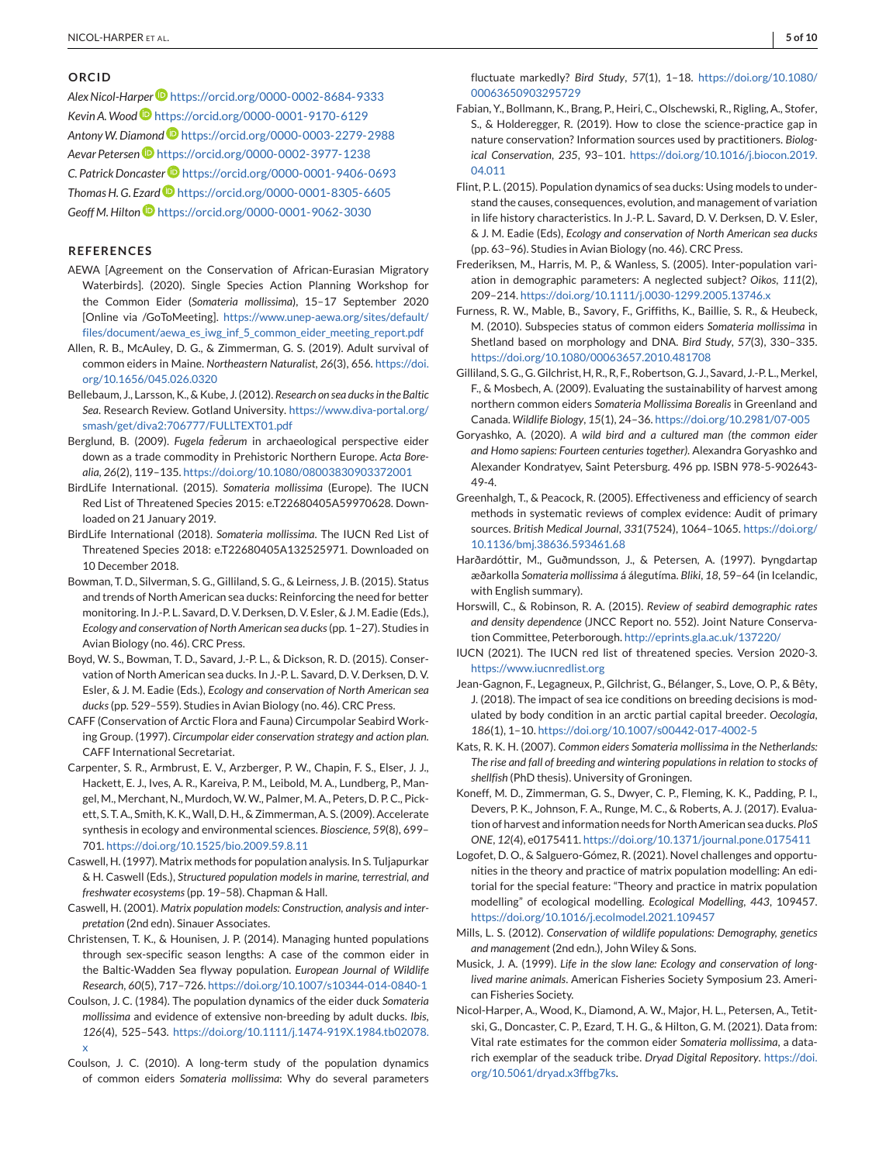## <span id="page-4-0"></span>**ORCID**

*Alex Nicol-Harpe[r](https://orcid.org/0000-0002-8684-9333)* <https://orcid.org/0000-0002-8684-9333> *Kevin A.Wood* <https://orcid.org/0000-0001-9170-6129> *AntonyW. Diamond* <https://orcid.org/0000-0003-2279-2988> *Aevar Peterse[n](https://orcid.org/0000-0002-3977-1238)* <https://orcid.org/0000-0002-3977-1238> *C. Patrick Doncaste[r](https://orcid.org/0000-0001-9406-0693)* <https://orcid.org/0000-0001-9406-0693> *Thomas H. G. Ezard* <https://orcid.org/0000-0001-8305-6605> *Geoff M. Hilton* <https://orcid.org/0000-0001-9062-3030>

## **REFERENCES**

- AEWA [Agreement on the Conservation of African-Eurasian Migratory Waterbirds]. (2020). Single Species Action Planning Workshop for the Common Eider (*Somateria mollissima*), 15–17 September 2020 [Online via /GoToMeeting]. [https://www.unep-aewa.org/sites/default/](https://www.unep-aewa.org/sites/default/files/document/aewa_es_iwg_inf_5_common_eider_meeting_report.pdf) [files/document/aewa\\_es\\_iwg\\_inf\\_5\\_common\\_eider\\_meeting\\_report.pdf](https://www.unep-aewa.org/sites/default/files/document/aewa_es_iwg_inf_5_common_eider_meeting_report.pdf)
- Allen, R. B., McAuley, D. G., & Zimmerman, G. S. (2019). Adult survival of common eiders in Maine. *Northeastern Naturalist*, *26*(3), 656. [https://doi.](https://doi.org/10.1656/045.026.0320) [org/10.1656/045.026.0320](https://doi.org/10.1656/045.026.0320)
- Bellebaum, J., Larsson, K., & Kube, J. (2012). *Research on sea ducks in the Baltic Sea*. Research Review. Gotland University. [https://www.diva-portal.org/](https://www.diva-portal.org/smash/get/diva2:706777/FULLTEXT01.pdf) [smash/get/diva2:706777/FULLTEXT01.pdf](https://www.diva-portal.org/smash/get/diva2:706777/FULLTEXT01.pdf)
- Berglund, B. (2009). *Fugela federum* in archaeological perspective eider down as a trade commodity in Prehistoric Northern Europe. *Acta Borealia*, *26*(2), 119–135. <https://doi.org/10.1080/08003830903372001>
- BirdLife International. (2015). *Somateria mollissima* (Europe). The IUCN Red List of Threatened Species 2015: e.T22680405A59970628. Downloaded on 21 January 2019.
- BirdLife International (2018). *Somateria mollissima*. The IUCN Red List of Threatened Species 2018: e.T22680405A132525971. Downloaded on 10 December 2018.
- Bowman, T. D., Silverman, S. G., Gilliland, S. G., & Leirness, J. B. (2015). Status and trends of North American sea ducks: Reinforcing the need for better monitoring. In J.-P. L. Savard, D. V. Derksen, D. V. Esler, & J.M. Eadie (Eds.), *Ecology and conservation of North American sea ducks*(pp. 1–27). Studies in Avian Biology (no. 46). CRC Press.
- Boyd, W. S., Bowman, T. D., Savard, J.-P. L., & Dickson, R. D. (2015). Conservation of North American sea ducks. In J.-P. L. Savard, D. V. Derksen, D. V. Esler, & J. M. Eadie (Eds.), *Ecology and conservation of North American sea ducks*(pp. 529–559). Studies in Avian Biology (no. 46). CRC Press.
- CAFF (Conservation of Arctic Flora and Fauna) Circumpolar Seabird Working Group. (1997). *Circumpolar eider conservation strategy and action plan*. CAFF International Secretariat.
- Carpenter, S. R., Armbrust, E. V., Arzberger, P. W., Chapin, F. S., Elser, J. J., Hackett, E. J., Ives, A. R., Kareiva, P. M., Leibold, M. A., Lundberg, P., Mangel, M., Merchant, N., Murdoch,W.W., Palmer, M. A., Peters, D. P. C., Pickett, S. T. A., Smith, K. K.,Wall, D. H., & Zimmerman, A. S. (2009). Accelerate synthesis in ecology and environmental sciences. *Bioscience*, *59*(8), 699– 701. <https://doi.org/10.1525/bio.2009.59.8.11>
- Caswell, H. (1997). Matrix methods for population analysis. In S. Tuljapurkar & H. Caswell (Eds.), *Structured population models in marine, terrestrial, and freshwater ecosystems*(pp. 19–58). Chapman & Hall.
- Caswell, H. (2001). *Matrix population models: Construction, analysis and interpretation* (2nd edn). Sinauer Associates.
- Christensen, T. K., & Hounisen, J. P. (2014). Managing hunted populations through sex-specific season lengths: A case of the common eider in the Baltic-Wadden Sea flyway population. *European Journal of Wildlife Research*, *60*(5), 717–726. <https://doi.org/10.1007/s10344-014-0840-1>
- Coulson, J. C. (1984). The population dynamics of the eider duck *Somateria mollissima* and evidence of extensive non-breeding by adult ducks. *Ibis*, *126*(4), 525–543. [https://doi.org/10.1111/j.1474-919X.1984.tb02078.](https://doi.org/10.1111/j.1474-919X.1984.tb02078.x) [x](https://doi.org/10.1111/j.1474-919X.1984.tb02078.x)
- Coulson, J. C. (2010). A long-term study of the population dynamics of common eiders *Somateria mollissima*: Why do several parameters

fluctuate markedly? *Bird Study*, *57*(1), 1–18. [https://doi.org/10.1080/](https://doi.org/10.1080/00063650903295729) [00063650903295729](https://doi.org/10.1080/00063650903295729)

- Fabian, Y., Bollmann, K., Brang, P., Heiri, C., Olschewski, R., Rigling, A., Stofer, S., & Holderegger, R. (2019). How to close the science-practice gap in nature conservation? Information sources used by practitioners. *Biological Conservation*, *235*, 93–101. [https://doi.org/10.1016/j.biocon.2019.](https://doi.org/10.1016/j.biocon.2019.04.011) [04.011](https://doi.org/10.1016/j.biocon.2019.04.011)
- Flint, P. L. (2015). Population dynamics of sea ducks: Using models to understand the causes, consequences, evolution, and management of variation in life history characteristics. In J.-P. L. Savard, D. V. Derksen, D. V. Esler, & J. M. Eadie (Eds), *Ecology and conservation of North American sea ducks* (pp. 63–96). Studies in Avian Biology (no. 46). CRC Press.
- Frederiksen, M., Harris, M. P., & Wanless, S. (2005). Inter-population variation in demographic parameters: A neglected subject? *Oikos*, *111*(2), 209–214. <https://doi.org/10.1111/j.0030-1299.2005.13746.x>
- Furness, R. W., Mable, B., Savory, F., Griffiths, K., Baillie, S. R., & Heubeck, M. (2010). Subspecies status of common eiders *Somateria mollissima* in Shetland based on morphology and DNA. *Bird Study*, *57*(3), 330–335. <https://doi.org/10.1080/00063657.2010.481708>
- Gilliland, S. G., G. Gilchrist, H, R., R, F., Robertson, G. J., Savard, J.-P. L., Merkel, F., & Mosbech, A. (2009). Evaluating the sustainability of harvest among northern common eiders *Somateria Mollissima Borealis* in Greenland and Canada. *Wildlife Biology*, *15*(1), 24–36. <https://doi.org/10.2981/07-005>
- Goryashko, A. (2020). *A wild bird and a cultured man (the common eider and Homo sapiens: Fourteen centuries together)*. Alexandra Goryashko and Alexander Kondratyev, Saint Petersburg. 496 pp. ISBN 978-5-902643- 49-4.
- Greenhalgh, T., & Peacock, R. (2005). Effectiveness and efficiency of search methods in systematic reviews of complex evidence: Audit of primary sources. *British Medical Journal*, *331*(7524), 1064–1065. [https://doi.org/](https://doi.org/10.1136/bmj.38636.593461.68) [10.1136/bmj.38636.593461.68](https://doi.org/10.1136/bmj.38636.593461.68)
- Harðardóttir, M., Guðmundsson, J., & Petersen, A. (1997). Þyngdartap æðarkolla *Somateria mollissima* á álegutíma. *Bliki*, *18*, 59–64 (in Icelandic, with English summary).
- Horswill, C., & Robinson, R. A. (2015). *Review of seabird demographic rates and density dependence* (JNCC Report no. 552). Joint Nature Conservation Committee, Peterborough. <http://eprints.gla.ac.uk/137220/>
- IUCN (2021). The IUCN red list of threatened species. Version 2020-3. <https://www.iucnredlist.org>
- Jean-Gagnon, F., Legagneux, P., Gilchrist, G., Bélanger, S., Love, O. P., & Bêty, J. (2018). The impact of sea ice conditions on breeding decisions is modulated by body condition in an arctic partial capital breeder. *Oecologia*, *186*(1), 1–10. <https://doi.org/10.1007/s00442-017-4002-5>
- Kats, R. K. H. (2007). *Common eiders Somateria mollissima in the Netherlands: The rise and fall of breeding and wintering populations in relation to stocks of shellfish* (PhD thesis). University of Groningen.
- Koneff, M. D., Zimmerman, G. S., Dwyer, C. P., Fleming, K. K., Padding, P. I., Devers, P. K., Johnson, F. A., Runge, M. C., & Roberts, A. J. (2017). Evaluation of harvest and information needs for North American sea ducks. *PloS ONE*, *12*(4), e0175411. <https://doi.org/10.1371/journal.pone.0175411>
- Logofet, D. O., & Salguero-Gómez, R. (2021). Novel challenges and opportunities in the theory and practice of matrix population modelling: An editorial for the special feature: "Theory and practice in matrix population modelling" of ecological modelling. *Ecological Modelling*, *443*, 109457. <https://doi.org/10.1016/j.ecolmodel.2021.109457>
- Mills, L. S. (2012). *Conservation of wildlife populations: Demography, genetics and management* (2nd edn.), John Wiley & Sons.
- Musick, J. A. (1999). *Life in the slow lane: Ecology and conservation of longlived marine animals*. American Fisheries Society Symposium 23. American Fisheries Society.
- Nicol-Harper, A., Wood, K., Diamond, A. W., Major, H. L., Petersen, A., Tetitski, G., Doncaster, C. P., Ezard, T. H. G., & Hilton, G. M. (2021). Data from: Vital rate estimates for the common eider *Somateria mollissima*, a datarich exemplar of the seaduck tribe. *Dryad Digital Repository*. [https://doi.](https://doi.org/10.5061/dryad.x3ffbg7ks) [org/10.5061/dryad.x3ffbg7ks.](https://doi.org/10.5061/dryad.x3ffbg7ks)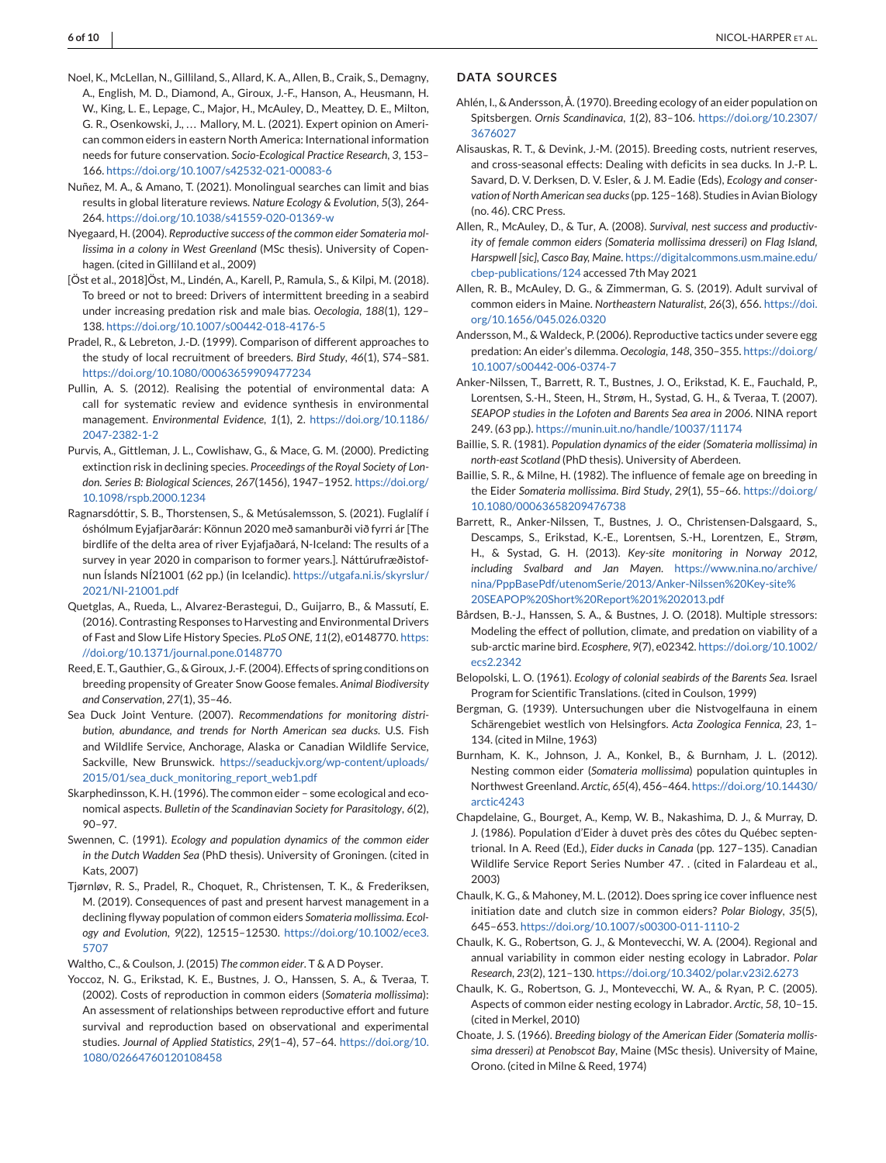- <span id="page-5-0"></span>Noel, K., McLellan, N., Gilliland, S., Allard, K. A., Allen, B., Craik, S., Demagny, A., English, M. D., Diamond, A., Giroux, J.-F., Hanson, A., Heusmann, H. W., King, L. E., Lepage, C., Major, H., McAuley, D., Meattey, D. E., Milton, G. R., Osenkowski, J., .., Mallory, M. L. (2021). Expert opinion on American common eiders in eastern North America: International information needs for future conservation. *Socio-Ecological Practice Research*, *3*, 153– 166. <https://doi.org/10.1007/s42532-021-00083-6>
- Nuñez, M. A., & Amano, T. (2021). Monolingual searches can limit and bias results in global literature reviews. *Nature Ecology & Evolution*, *5*(3), 264- 264. <https://doi.org/10.1038/s41559-020-01369-w>
- Nyegaard, H. (2004). *Reproductive success of the common eider Somateria mollissima in a colony in West Greenland* (MSc thesis). University of Copenhagen. (cited in Gilliland et al., 2009)
- [Öst et al., 2018]Öst, M., Lindén, A., Karell, P., Ramula, S., & Kilpi, M. (2018). To breed or not to breed: Drivers of intermittent breeding in a seabird under increasing predation risk and male bias. *Oecologia*, *188*(1), 129– 138. <https://doi.org/10.1007/s00442-018-4176-5>
- Pradel, R., & Lebreton, J.-D. (1999). Comparison of different approaches to the study of local recruitment of breeders. *Bird Study*, *46*(1), S74–S81. <https://doi.org/10.1080/00063659909477234>
- Pullin, A. S. (2012). Realising the potential of environmental data: A call for systematic review and evidence synthesis in environmental management. *Environmental Evidence*, *1*(1), 2. [https://doi.org/10.1186/](https://doi.org/10.1186/2047-2382-1-2) [2047-2382-1-2](https://doi.org/10.1186/2047-2382-1-2)
- Purvis, A., Gittleman, J. L., Cowlishaw, G., & Mace, G. M. (2000). Predicting extinction risk in declining species. *Proceedings of the Royal Society of London. Series B: Biological Sciences*, *267*(1456), 1947–1952. [https://doi.org/](https://doi.org/10.1098/rspb.2000.1234) [10.1098/rspb.2000.1234](https://doi.org/10.1098/rspb.2000.1234)
- Ragnarsdóttir, S. B., Thorstensen, S., & Metúsalemsson, S. (2021). Fuglalíf í óshólmum Eyjafjarðarár: Könnun 2020 með samanburði við fyrri ár [The birdlife of the delta area of river Eyjafjaðará, N-Iceland: The results of a survey in year 2020 in comparison to former years.]. Náttúrufræðistofnun Íslands NÍ21001 (62 pp.) (in Icelandic). [https://utgafa.ni.is/skyrslur/](https://utgafa.ni.is/skyrslur/2021/NI-21001.pdf) [2021/NI-21001.pdf](https://utgafa.ni.is/skyrslur/2021/NI-21001.pdf)
- Quetglas, A., Rueda, L., Alvarez-Berastegui, D., Guijarro, B., & Massutí, E. (2016). Contrasting Responses to Harvesting and Environmental Drivers of Fast and Slow Life History Species. *PLoS ONE*, *11*(2), e0148770. [https:](https://doi.org/10.1371/journal.pone.0148770) [//doi.org/10.1371/journal.pone.0148770](https://doi.org/10.1371/journal.pone.0148770)
- Reed, E. T., Gauthier, G., & Giroux, J.-F. (2004). Effects of spring conditions on breeding propensity of Greater Snow Goose females. *Animal Biodiversity and Conservation*, *27*(1), 35–46.
- Sea Duck Joint Venture. (2007). *Recommendations for monitoring distribution, abundance, and trends for North American sea ducks*. U.S. Fish and Wildlife Service, Anchorage, Alaska or Canadian Wildlife Service, Sackville, New Brunswick. [https://seaduckjv.org/wp-content/uploads/](https://seaduckjv.org/wp-content/uploads/2015/01/sea_duck_monitoring_report_web1.pdf) [2015/01/sea\\_duck\\_monitoring\\_report\\_web1.pdf](https://seaduckjv.org/wp-content/uploads/2015/01/sea_duck_monitoring_report_web1.pdf)
- Skarphedinsson, K. H. (1996). The common eider some ecological and economical aspects. *Bulletin of the Scandinavian Society for Parasitology*, *6*(2), 90–97.
- Swennen, C. (1991). *Ecology and population dynamics of the common eider in the Dutch Wadden Sea* (PhD thesis). University of Groningen. (cited in Kats, 2007)
- Tjørnløv, R. S., Pradel, R., Choquet, R., Christensen, T. K., & Frederiksen, M. (2019). Consequences of past and present harvest management in a declining flyway population of common eiders *Somateria mollissima*. *Ecology and Evolution*, *9*(22), 12515–12530. [https://doi.org/10.1002/ece3.](https://doi.org/10.1002/ece3.5707) [5707](https://doi.org/10.1002/ece3.5707)
- Waltho, C., & Coulson, J. (2015) *The common eider*. T & A D Poyser.
- Yoccoz, N. G., Erikstad, K. E., Bustnes, J. O., Hanssen, S. A., & Tveraa, T. (2002). Costs of reproduction in common eiders (*Somateria mollissima*): An assessment of relationships between reproductive effort and future survival and reproduction based on observational and experimental studies. *Journal of Applied Statistics*, *29*(1–4), 57–64. [https://doi.org/10.](https://doi.org/10.1080/02664760120108458) [1080/02664760120108458](https://doi.org/10.1080/02664760120108458)

#### **DATA SOURCES**

- Ahlén, I., & Andersson, Å. (1970). Breeding ecology of an eider population on Spitsbergen. *Ornis Scandinavica*, *1*(2), 83–106. [https://doi.org/10.2307/](https://doi.org/10.2307/3676027) [3676027](https://doi.org/10.2307/3676027)
- Alisauskas, R. T., & Devink, J.-M. (2015). Breeding costs, nutrient reserves, and cross-seasonal effects: Dealing with deficits in sea ducks. In J.-P. L. Savard, D. V. Derksen, D. V. Esler, & J. M. Eadie (Eds), *Ecology and conservation of North American sea ducks*(pp. 125–168). Studies in Avian Biology (no. 46). CRC Press.
- Allen, R., McAuley, D., & Tur, A. (2008). *Survival, nest success and productivity of female common eiders (Somateria mollissima dresseri) on Flag Island, Harspwell [sic], Casco Bay, Maine*. [https://digitalcommons.usm.maine.edu/](https://digitalcommons.usm.maine.edu/cbep-publications/124) [cbep-publications/124](https://digitalcommons.usm.maine.edu/cbep-publications/124) accessed 7th May 2021
- Allen, R. B., McAuley, D. G., & Zimmerman, G. S. (2019). Adult survival of common eiders in Maine. *Northeastern Naturalist*, *26*(3), 656. [https://doi.](https://doi.org/10.1656/045.026.0320) [org/10.1656/045.026.0320](https://doi.org/10.1656/045.026.0320)
- Andersson, M., & Waldeck, P. (2006). Reproductive tactics under severe egg predation: An eider's dilemma. *Oecologia*, *148*, 350–355. [https://doi.org/](https://doi.org/10.1007/s00442-006-0374-7) [10.1007/s00442-006-0374-7](https://doi.org/10.1007/s00442-006-0374-7)
- Anker-Nilssen, T., Barrett, R. T., Bustnes, J. O., Erikstad, K. E., Fauchald, P., Lorentsen, S.-H., Steen, H., Strøm, H., Systad, G. H., & Tveraa, T. (2007). *SEAPOP studies in the Lofoten and Barents Sea area in 2006*. NINA report 249. (63 pp.). <https://munin.uit.no/handle/10037/11174>
- Baillie, S. R. (1981). *Population dynamics of the eider (Somateria mollissima) in north-east Scotland* (PhD thesis). University of Aberdeen.
- Baillie, S. R., & Milne, H. (1982). The influence of female age on breeding in the Eider *Somateria mollissima*. *Bird Study*, *29*(1), 55–66. [https://doi.org/](https://doi.org/10.1080/00063658209476738) [10.1080/00063658209476738](https://doi.org/10.1080/00063658209476738)
- Barrett, R., Anker-Nilssen, T., Bustnes, J. O., Christensen-Dalsgaard, S., Descamps, S., Erikstad, K.-E., Lorentsen, S.-H., Lorentzen, E., Strøm, H., & Systad, G. H. (2013). *Key-site monitoring in Norway 2012, including Svalbard and Jan Mayen*. [https://www.nina.no/archive/](https://www.nina.no/archive/nina/PppBasePdf/utenomSerie/2013/Anker-Nilssen%20Key-site%20SEAPOP%20Short%20Report%201%202013.pdf) [nina/PppBasePdf/utenomSerie/2013/Anker-Nilssen%20Key-site%](https://www.nina.no/archive/nina/PppBasePdf/utenomSerie/2013/Anker-Nilssen%20Key-site%20SEAPOP%20Short%20Report%201%202013.pdf) [20SEAPOP%20Short%20Report%201%202013.pdf](https://www.nina.no/archive/nina/PppBasePdf/utenomSerie/2013/Anker-Nilssen%20Key-site%20SEAPOP%20Short%20Report%201%202013.pdf)
- Bårdsen, B.-J., Hanssen, S. A., & Bustnes, J. O. (2018). Multiple stressors: Modeling the effect of pollution, climate, and predation on viability of a sub-arctic marine bird. *Ecosphere*, *9*(7), e02342. [https://doi.org/10.1002/](https://doi.org/10.1002/ecs2.2342) [ecs2.2342](https://doi.org/10.1002/ecs2.2342)
- Belopolski, L. O. (1961). *Ecology of colonial seabirds of the Barents Sea*. Israel Program for Scientific Translations. (cited in Coulson, 1999)
- Bergman, G. (1939). Untersuchungen uber die Nistvogelfauna in einem Schärengebiet westlich von Helsingfors. *Acta Zoologica Fennica*, *23*, 1– 134. (cited in Milne, 1963)
- Burnham, K. K., Johnson, J. A., Konkel, B., & Burnham, J. L. (2012). Nesting common eider (*Somateria mollissima*) population quintuples in Northwest Greenland. *Arctic*, *65*(4), 456–464. [https://doi.org/10.14430/](https://doi.org/10.14430/arctic4243) [arctic4243](https://doi.org/10.14430/arctic4243)
- Chapdelaine, G., Bourget, A., Kemp, W. B., Nakashima, D. J., & Murray, D. J. (1986). Population d'Eider à duvet près des côtes du Québec septentrional. In A. Reed (Ed.), *Eider ducks in Canada* (pp. 127–135). Canadian Wildlife Service Report Series Number 47. . (cited in Falardeau et al., 2003)
- Chaulk, K. G., & Mahoney, M. L. (2012). Does spring ice cover influence nest initiation date and clutch size in common eiders? *Polar Biology*, *35*(5), 645–653. <https://doi.org/10.1007/s00300-011-1110-2>
- Chaulk, K. G., Robertson, G. J., & Montevecchi, W. A. (2004). Regional and annual variability in common eider nesting ecology in Labrador. *Polar Research*, *23*(2), 121–130. <https://doi.org/10.3402/polar.v23i2.6273>
- Chaulk, K. G., Robertson, G. J., Montevecchi, W. A., & Ryan, P. C. (2005). Aspects of common eider nesting ecology in Labrador. *Arctic*, *58*, 10–15. (cited in Merkel, 2010)
- Choate, J. S. (1966). *Breeding biology of the American Eider (Somateria mollissima dresseri) at Penobscot Bay*, Maine (MSc thesis). University of Maine, Orono. (cited in Milne & Reed, 1974)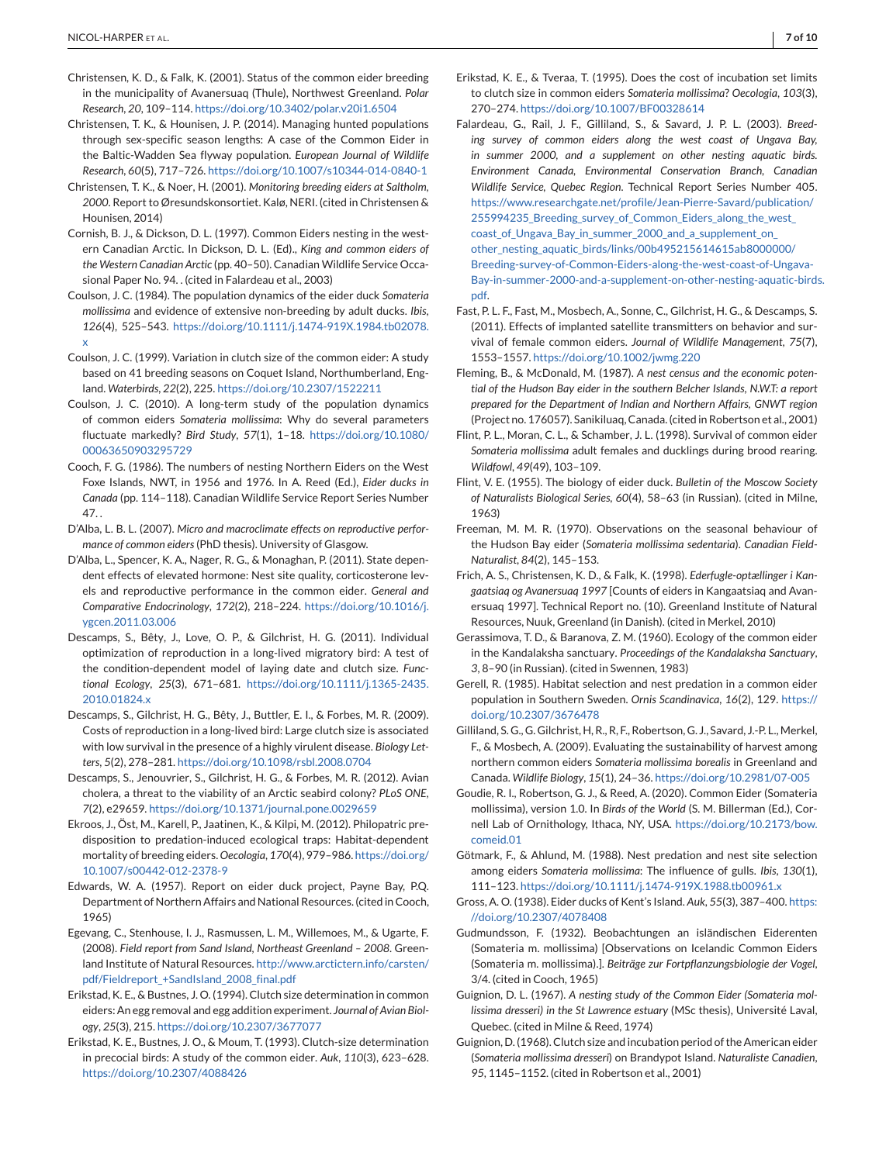- Christensen, K. D., & Falk, K. (2001). Status of the common eider breeding in the municipality of Avanersuaq (Thule), Northwest Greenland. *Polar Research*, *20*, 109–114. <https://doi.org/10.3402/polar.v20i1.6504>
- Christensen, T. K., & Hounisen, J. P. (2014). Managing hunted populations through sex-specific season lengths: A case of the Common Eider in the Baltic-Wadden Sea flyway population. *European Journal of Wildlife Research*, *60*(5), 717–726. <https://doi.org/10.1007/s10344-014-0840-1>
- Christensen, T. K., & Noer, H. (2001). *Monitoring breeding eiders at Saltholm, 2000*. Report to Øresundskonsortiet. Kalø, NERI. (cited in Christensen & Hounisen, 2014)
- Cornish, B. J., & Dickson, D. L. (1997). Common Eiders nesting in the western Canadian Arctic. In Dickson, D. L. (Ed)., *King and common eiders of the Western Canadian Arctic* (pp. 40–50). Canadian Wildlife Service Occasional Paper No. 94. . (cited in Falardeau et al., 2003)
- Coulson, J. C. (1984). The population dynamics of the eider duck *Somateria mollissima* and evidence of extensive non-breeding by adult ducks. *Ibis*, *126*(4), 525–543. [https://doi.org/10.1111/j.1474-919X.1984.tb02078.](https://doi.org/10.1111/j.1474-919X.1984.tb02078.x) [x](https://doi.org/10.1111/j.1474-919X.1984.tb02078.x)
- Coulson, J. C. (1999). Variation in clutch size of the common eider: A study based on 41 breeding seasons on Coquet Island, Northumberland, England. *Waterbirds*, *22*(2), 225. <https://doi.org/10.2307/1522211>
- Coulson, J. C. (2010). A long-term study of the population dynamics of common eiders *Somateria mollissima*: Why do several parameters fluctuate markedly? *Bird Study*, *57*(1), 1–18. [https://doi.org/10.1080/](https://doi.org/10.1080/00063650903295729) [00063650903295729](https://doi.org/10.1080/00063650903295729)
- Cooch, F. G. (1986). The numbers of nesting Northern Eiders on the West Foxe Islands, NWT, in 1956 and 1976. In A. Reed (Ed.), *Eider ducks in Canada* (pp. 114–118). Canadian Wildlife Service Report Series Number 47
- D'Alba, L. B. L. (2007). *Micro and macroclimate effects on reproductive performance of common eiders*(PhD thesis). University of Glasgow.
- D'Alba, L., Spencer, K. A., Nager, R. G., & Monaghan, P. (2011). State dependent effects of elevated hormone: Nest site quality, corticosterone levels and reproductive performance in the common eider. *General and Comparative Endocrinology*, *172*(2), 218–224. [https://doi.org/10.1016/j.](https://doi.org/10.1016/j.ygcen.2011.03.006) [ygcen.2011.03.006](https://doi.org/10.1016/j.ygcen.2011.03.006)
- Descamps, S., Bêty, J., Love, O. P., & Gilchrist, H. G. (2011). Individual optimization of reproduction in a long-lived migratory bird: A test of the condition-dependent model of laying date and clutch size. *Functional Ecology*, *25*(3), 671–681. [https://doi.org/10.1111/j.1365-2435.](https://doi.org/10.1111/j.1365-2435.2010.01824.x) [2010.01824.x](https://doi.org/10.1111/j.1365-2435.2010.01824.x)
- Descamps, S., Gilchrist, H. G., Bêty, J., Buttler, E. I., & Forbes, M. R. (2009). Costs of reproduction in a long-lived bird: Large clutch size is associated with low survival in the presence of a highly virulent disease. *Biology Letters*, *5*(2), 278–281. <https://doi.org/10.1098/rsbl.2008.0704>
- Descamps, S., Jenouvrier, S., Gilchrist, H. G., & Forbes, M. R. (2012). Avian cholera, a threat to the viability of an Arctic seabird colony? *PLoS ONE*, *7*(2), e29659. <https://doi.org/10.1371/journal.pone.0029659>
- Ekroos, J., Öst, M., Karell, P., Jaatinen, K., & Kilpi, M. (2012). Philopatric predisposition to predation-induced ecological traps: Habitat-dependent mortality of breeding eiders. *Oecologia*, *170*(4), 979–986. [https://doi.org/](https://doi.org/10.1007/s00442-012-2378-9) [10.1007/s00442-012-2378-9](https://doi.org/10.1007/s00442-012-2378-9)
- Edwards, W. A. (1957). Report on eider duck project, Payne Bay, P.Q. Department of Northern Affairs and National Resources. (cited in Cooch, 1965)
- Egevang, C., Stenhouse, I. J., Rasmussen, L. M., Willemoes, M., & Ugarte, F. (2008). *Field report from Sand Island, Northeast Greenland – 2008*. Greenland Institute of Natural Resources. [http://www.arctictern.info/carsten/](http://www.arctictern.info/carsten/pdf/Fieldreport_+SandIsland_2008_final.pdf) [pdf/Fieldreport\\_+SandIsland\\_2008\\_final.pdf](http://www.arctictern.info/carsten/pdf/Fieldreport_+SandIsland_2008_final.pdf)
- Erikstad, K. E., & Bustnes, J. O. (1994). Clutch size determination in common eiders: An egg removal and egg addition experiment. *Journal of Avian Biology*, *25*(3), 215. <https://doi.org/10.2307/3677077>
- Erikstad, K. E., Bustnes, J. O., & Moum, T. (1993). Clutch-size determination in precocial birds: A study of the common eider. *Auk*, *110*(3), 623–628. <https://doi.org/10.2307/4088426>
- Erikstad, K. E., & Tveraa, T. (1995). Does the cost of incubation set limits to clutch size in common eiders *Somateria mollissima*? *Oecologia*, *103*(3), 270–274. <https://doi.org/10.1007/BF00328614>
- Falardeau, G., Rail, J. F., Gilliland, S., & Savard, J. P. L. (2003). *Breeding survey of common eiders along the west coast of Ungava Bay, in summer 2000, and a supplement on other nesting aquatic birds. Environment Canada, Environmental Conservation Branch, Canadian Wildlife Service, Quebec Region*. Technical Report Series Number 405. [https://www.researchgate.net/profile/Jean-Pierre-Savard/publication/](https://www.researchgate.net/profile/Jean-Pierre-Savard/publication/255994235_Breeding_survey_of_Common_Eiders_along_the_west_coast_of_Ungava_Bay_in_summer_2000_and_a_supplement_on_other_nesting_aquatic_birds/links/00b495215614615ab8000000/Breeding-survey-of-Common-Eiders-along-the-west-coast-of-Ungava-Bay-in-summer-2000-and-a-supplement-on-other-nesting-aquatic-birds.pdf) [255994235\\_Breeding\\_survey\\_of\\_Common\\_Eiders\\_along\\_the\\_west\\_](https://www.researchgate.net/profile/Jean-Pierre-Savard/publication/255994235_Breeding_survey_of_Common_Eiders_along_the_west_coast_of_Ungava_Bay_in_summer_2000_and_a_supplement_on_other_nesting_aquatic_birds/links/00b495215614615ab8000000/Breeding-survey-of-Common-Eiders-along-the-west-coast-of-Ungava-Bay-in-summer-2000-and-a-supplement-on-other-nesting-aquatic-birds.pdf) [coast\\_of\\_Ungava\\_Bay\\_in\\_summer\\_2000\\_and\\_a\\_supplement\\_on\\_](https://www.researchgate.net/profile/Jean-Pierre-Savard/publication/255994235_Breeding_survey_of_Common_Eiders_along_the_west_coast_of_Ungava_Bay_in_summer_2000_and_a_supplement_on_other_nesting_aquatic_birds/links/00b495215614615ab8000000/Breeding-survey-of-Common-Eiders-along-the-west-coast-of-Ungava-Bay-in-summer-2000-and-a-supplement-on-other-nesting-aquatic-birds.pdf) [other\\_nesting\\_aquatic\\_birds/links/00b495215614615ab8000000/](https://www.researchgate.net/profile/Jean-Pierre-Savard/publication/255994235_Breeding_survey_of_Common_Eiders_along_the_west_coast_of_Ungava_Bay_in_summer_2000_and_a_supplement_on_other_nesting_aquatic_birds/links/00b495215614615ab8000000/Breeding-survey-of-Common-Eiders-along-the-west-coast-of-Ungava-Bay-in-summer-2000-and-a-supplement-on-other-nesting-aquatic-birds.pdf) [Breeding-survey-of-Common-Eiders-along-the-west-coast-of-Ungava-](https://www.researchgate.net/profile/Jean-Pierre-Savard/publication/255994235_Breeding_survey_of_Common_Eiders_along_the_west_coast_of_Ungava_Bay_in_summer_2000_and_a_supplement_on_other_nesting_aquatic_birds/links/00b495215614615ab8000000/Breeding-survey-of-Common-Eiders-along-the-west-coast-of-Ungava-Bay-in-summer-2000-and-a-supplement-on-other-nesting-aquatic-birds.pdf)[Bay-in-summer-2000-and-a-supplement-on-other-nesting-aquatic-birds.](https://www.researchgate.net/profile/Jean-Pierre-Savard/publication/255994235_Breeding_survey_of_Common_Eiders_along_the_west_coast_of_Ungava_Bay_in_summer_2000_and_a_supplement_on_other_nesting_aquatic_birds/links/00b495215614615ab8000000/Breeding-survey-of-Common-Eiders-along-the-west-coast-of-Ungava-Bay-in-summer-2000-and-a-supplement-on-other-nesting-aquatic-birds.pdf) [pdf.](https://www.researchgate.net/profile/Jean-Pierre-Savard/publication/255994235_Breeding_survey_of_Common_Eiders_along_the_west_coast_of_Ungava_Bay_in_summer_2000_and_a_supplement_on_other_nesting_aquatic_birds/links/00b495215614615ab8000000/Breeding-survey-of-Common-Eiders-along-the-west-coast-of-Ungava-Bay-in-summer-2000-and-a-supplement-on-other-nesting-aquatic-birds.pdf)
- Fast, P. L. F., Fast, M., Mosbech, A., Sonne, C., Gilchrist, H. G., & Descamps, S. (2011). Effects of implanted satellite transmitters on behavior and survival of female common eiders. *Journal of Wildlife Management*, *75*(7), 1553–1557. <https://doi.org/10.1002/jwmg.220>
- Fleming, B., & McDonald, M. (1987). *A nest census and the economic potential of the Hudson Bay eider in the southern Belcher Islands, N.W.T: a report prepared for the Department of Indian and Northern Affairs, GNWT region* (Project no. 176057). Sanikiluaq, Canada. (cited in Robertson et al., 2001)
- Flint, P. L., Moran, C. L., & Schamber, J. L. (1998). Survival of common eider *Somateria mollissima* adult females and ducklings during brood rearing. *Wildfowl*, *49*(49), 103–109.
- Flint, V. E. (1955). The biology of eider duck. *Bulletin of the Moscow Society of Naturalists Biological Series*, *60*(4), 58–63 (in Russian). (cited in Milne, 1963)
- Freeman, M. M. R. (1970). Observations on the seasonal behaviour of the Hudson Bay eider (*Somateria mollissima sedentaria*). *Canadian Field-Naturalist*, *84*(2), 145–153.
- Frich, A. S., Christensen, K. D., & Falk, K. (1998). *Ederfugle-optællinger i Kangaatsiaq og Avanersuaq 1997* [Counts of eiders in Kangaatsiaq and Avanersuaq 1997]. Technical Report no. (10). Greenland Institute of Natural Resources, Nuuk, Greenland (in Danish). (cited in Merkel, 2010)
- Gerassimova, T. D., & Baranova, Z. M. (1960). Ecology of the common eider in the Kandalaksha sanctuary. *Proceedings of the Kandalaksha Sanctuary*, *3*, 8–90 (in Russian). (cited in Swennen, 1983)
- Gerell, R. (1985). Habitat selection and nest predation in a common eider population in Southern Sweden. *Ornis Scandinavica*, *16*(2), 129. [https://](https://doi.org/10.2307/3676478) [doi.org/10.2307/3676478](https://doi.org/10.2307/3676478)
- Gilliland, S. G., G. Gilchrist, H, R., R, F., Robertson, G. J., Savard, J.-P. L., Merkel, F., & Mosbech, A. (2009). Evaluating the sustainability of harvest among northern common eiders *Somateria mollissima borealis* in Greenland and Canada. *Wildlife Biology*, *15*(1), 24–36. <https://doi.org/10.2981/07-005>
- Goudie, R. I., Robertson, G. J., & Reed, A. (2020). Common Eider (Somateria mollissima), version 1.0. In *Birds of the World* (S. M. Billerman (Ed.), Cornell Lab of Ornithology, Ithaca, NY, USA. [https://doi.org/10.2173/bow.](https://doi.org/10.2173/bow.comeid.01) [comeid.01](https://doi.org/10.2173/bow.comeid.01)
- Götmark, F., & Ahlund, M. (1988). Nest predation and nest site selection among eiders *Somateria mollissima*: The influence of gulls. *Ibis*, *130*(1), 111–123. <https://doi.org/10.1111/j.1474-919X.1988.tb00961.x>
- Gross, A. O. (1938). Eider ducks of Kent's Island. *Auk*, *55*(3), 387–400. [https:](https://doi.org/10.2307/4078408) [//doi.org/10.2307/4078408](https://doi.org/10.2307/4078408)
- Gudmundsson, F. (1932). Beobachtungen an isländischen Eiderenten (Somateria m. mollissima) [Observations on Icelandic Common Eiders (Somateria m. mollissima).]. *Beiträge zur Fortpflanzungsbiologie der Vogel*, 3/4. (cited in Cooch, 1965)
- Guignion, D. L. (1967). *A nesting study of the Common Eider (Somateria mollissima dresseri) in the St Lawrence estuary* (MSc thesis), Université Laval, Quebec. (cited in Milne & Reed, 1974)
- Guignion, D. (1968). Clutch size and incubation period of the American eider (*Somateria mollissima dresseri*) on Brandypot Island. *Naturaliste Canadien*, *95*, 1145–1152. (cited in Robertson et al., 2001)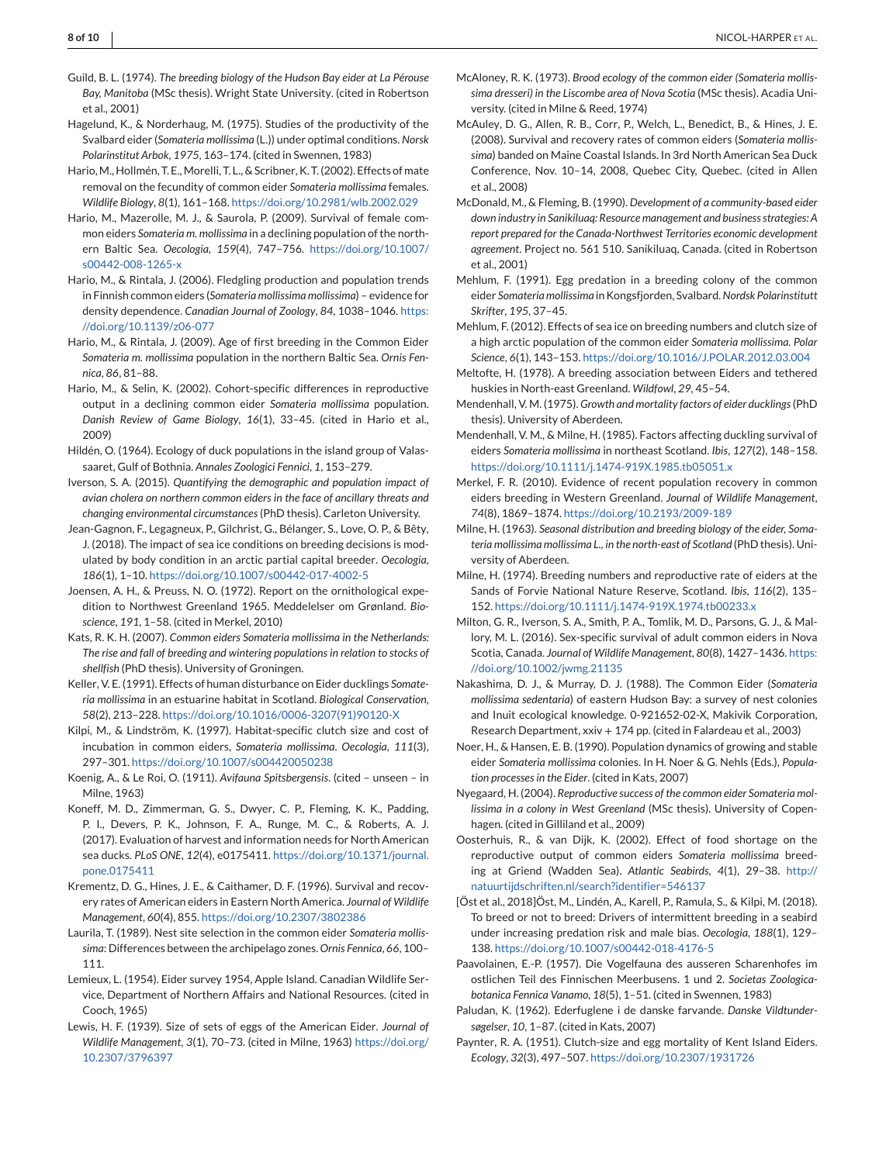- Guild, B. L. (1974). *The breeding biology of the Hudson Bay eider at La Pérouse Bay, Manitoba* (MSc thesis). Wright State University. (cited in Robertson et al., 2001)
- Hagelund, K., & Norderhaug, M. (1975). Studies of the productivity of the Svalbard eider (*Somateria mollissima* (L.)) under optimal conditions. *Norsk Polarinstitut Arbok*, *1975*, 163–174. (cited in Swennen, 1983)
- Hario, M., Hollmén, T. E., Morelli, T. L., & Scribner, K. T. (2002). Effects of mate removal on the fecundity of common eider *Somateria mollissima* females. *Wildlife Biology*, *8*(1), 161–168. <https://doi.org/10.2981/wlb.2002.029>
- Hario, M., Mazerolle, M. J., & Saurola, P. (2009). Survival of female common eiders *Somateria m. mollissima* in a declining population of the northern Baltic Sea. *Oecologia*, *159*(4), 747–756. [https://doi.org/10.1007/](https://doi.org/10.1007/s00442-008-1265-x) [s00442-008-1265-x](https://doi.org/10.1007/s00442-008-1265-x)
- Hario, M., & Rintala, J. (2006). Fledgling production and population trends in Finnish common eiders (*Somateria mollissima mollissima*) – evidence for density dependence. *Canadian Journal of Zoology*, *84*, 1038–1046. [https:](https://doi.org/10.1139/z06-077) [//doi.org/10.1139/z06-077](https://doi.org/10.1139/z06-077)
- Hario, M., & Rintala, J. (2009). Age of first breeding in the Common Eider *Somateria m. mollissima* population in the northern Baltic Sea. *Ornis Fennica*, *86*, 81–88.
- Hario, M., & Selin, K. (2002). Cohort-specific differences in reproductive output in a declining common eider *Somateria mollissima* population. *Danish Review of Game Biology*, *16*(1), 33–45. (cited in Hario et al., 2009)
- Hildén, O. (1964). Ecology of duck populations in the island group of Valassaaret, Gulf of Bothnia. *Annales Zoologici Fennici*, *1*, 153–279.
- Iverson, S. A. (2015). *Quantifying the demographic and population impact of avian cholera on northern common eiders in the face of ancillary threats and changing environmental circumstances*(PhD thesis). Carleton University.
- Jean-Gagnon, F., Legagneux, P., Gilchrist, G., Bélanger, S., Love, O. P., & Bêty, J. (2018). The impact of sea ice conditions on breeding decisions is modulated by body condition in an arctic partial capital breeder. *Oecologia*, *186*(1), 1–10. <https://doi.org/10.1007/s00442-017-4002-5>
- Joensen, A. H., & Preuss, N. O. (1972). Report on the ornithological expedition to Northwest Greenland 1965. Meddelelser om Grønland. *Bioscience*, *191*, 1–58. (cited in Merkel, 2010)
- Kats, R. K. H. (2007). *Common eiders Somateria mollissima in the Netherlands: The rise and fall of breeding and wintering populations in relation to stocks of shellfish* (PhD thesis). University of Groningen.
- Keller, V. E. (1991). Effects of human disturbance on Eider ducklings *Somateria mollissima* in an estuarine habitat in Scotland. *Biological Conservation*, *58*(2), 213–228. [https://doi.org/10.1016/0006-3207\(91\)90120-X](https://doi.org/10.1016/0006-3207(91)90120-X)
- Kilpi, M., & Lindström, K. (1997). Habitat-specific clutch size and cost of incubation in common eiders, *Somateria mollissima*. *Oecologia*, *111*(3), 297–301. <https://doi.org/10.1007/s004420050238>
- Koenig, A., & Le Roi, O. (1911). *Avifauna Spitsbergensis*. (cited unseen in Milne, 1963)
- Koneff, M. D., Zimmerman, G. S., Dwyer, C. P., Fleming, K. K., Padding, P. I., Devers, P. K., Johnson, F. A., Runge, M. C., & Roberts, A. J. (2017). Evaluation of harvest and information needs for North American sea ducks. *PLoS ONE*, *12*(4), e0175411. [https://doi.org/10.1371/journal.](https://doi.org/10.1371/journal.pone.0175411) [pone.0175411](https://doi.org/10.1371/journal.pone.0175411)
- Krementz, D. G., Hines, J. E., & Caithamer, D. F. (1996). Survival and recovery rates of American eiders in Eastern North America. *Journal of Wildlife Management*, *60*(4), 855. <https://doi.org/10.2307/3802386>
- Laurila, T. (1989). Nest site selection in the common eider *Somateria mollissima*: Differences between the archipelago zones. *Ornis Fennica*, *66*, 100– 111.
- Lemieux, L. (1954). Eider survey 1954, Apple Island. Canadian Wildlife Service, Department of Northern Affairs and National Resources. (cited in Cooch, 1965)
- Lewis, H. F. (1939). Size of sets of eggs of the American Eider. *Journal of Wildlife Management*, *3*(1), 70–73. (cited in Milne, 1963) [https://doi.org/](https://doi.org/10.2307/3796397) [10.2307/3796397](https://doi.org/10.2307/3796397)
- McAloney, R. K. (1973). *Brood ecology of the common eider (Somateria mollissima dresseri) in the Liscombe area of Nova Scotia* (MSc thesis). Acadia University. (cited in Milne & Reed, 1974)
- McAuley, D. G., Allen, R. B., Corr, P., Welch, L., Benedict, B., & Hines, J. E. (2008). Survival and recovery rates of common eiders (*Somateria mollissima*) banded on Maine Coastal Islands. In 3rd North American Sea Duck Conference, Nov. 10–14, 2008, Quebec City, Quebec. (cited in Allen et al., 2008)
- McDonald, M., & Fleming, B. (1990). *Development of a community-based eider down industry in Sanikiluaq: Resource management and business strategies: A report prepared for the Canada-Northwest Territories economic development agreement*. Project no. 561 510. Sanikiluaq, Canada. (cited in Robertson et al., 2001)
- Mehlum, F. (1991). Egg predation in a breeding colony of the common eider *Somateria mollissima* in Kongsfjorden, Svalbard.*Nordsk Polarinstitutt Skrifter*, *195*, 37–45.
- Mehlum, F. (2012). Effects of sea ice on breeding numbers and clutch size of a high arctic population of the common eider *Somateria mollissima*. *Polar Science*, *6*(1), 143–153. <https://doi.org/10.1016/J.POLAR.2012.03.004>
- Meltofte, H. (1978). A breeding association between Eiders and tethered huskies in North-east Greenland. *Wildfowl*, *29*, 45–54.
- Mendenhall, V. M. (1975).*Growth and mortality factors of eider ducklings*(PhD thesis). University of Aberdeen.
- Mendenhall, V. M., & Milne, H. (1985). Factors affecting duckling survival of eiders *Somateria mollissima* in northeast Scotland. *Ibis*, *127*(2), 148–158. <https://doi.org/10.1111/j.1474-919X.1985.tb05051.x>
- Merkel, F. R. (2010). Evidence of recent population recovery in common eiders breeding in Western Greenland. *Journal of Wildlife Management*, *74*(8), 1869–1874. <https://doi.org/10.2193/2009-189>
- Milne, H. (1963). *Seasonal distribution and breeding biology of the eider, Somateria mollissima mollissima L., in the north-east of Scotland* (PhD thesis). University of Aberdeen.
- Milne, H. (1974). Breeding numbers and reproductive rate of eiders at the Sands of Forvie National Nature Reserve, Scotland. *Ibis*, *116*(2), 135– 152. <https://doi.org/10.1111/j.1474-919X.1974.tb00233.x>
- Milton, G. R., Iverson, S. A., Smith, P. A., Tomlik, M. D., Parsons, G. J., & Mallory, M. L. (2016). Sex-specific survival of adult common eiders in Nova Scotia, Canada. *Journal of Wildlife Management*, *80*(8), 1427–1436. [https:](https://doi.org/10.1002/jwmg.21135) [//doi.org/10.1002/jwmg.21135](https://doi.org/10.1002/jwmg.21135)
- Nakashima, D. J., & Murray, D. J. (1988). The Common Eider (*Somateria mollissima sedentaria*) of eastern Hudson Bay: a survey of nest colonies and Inuit ecological knowledge. 0-921652-02-X, Makivik Corporation, Research Department, xxiv + 174 pp. (cited in Falardeau et al., 2003)
- Noer, H., & Hansen, E. B. (1990). Population dynamics of growing and stable eider *Somateria mollissima* colonies. In H. Noer & G. Nehls (Eds.), *Population processes in the Eider*. (cited in Kats, 2007)
- Nyegaard, H. (2004). *Reproductive success of the common eider Somateria mollissima in a colony in West Greenland* (MSc thesis). University of Copenhagen. (cited in Gilliland et al., 2009)
- Oosterhuis, R., & van Dijk, K. (2002). Effect of food shortage on the reproductive output of common eiders *Somateria mollissima* breeding at Griend (Wadden Sea). *Atlantic Seabirds*, *4*(1), 29–38. [http://](http://natuurtijdschriften.nl/search?identifier=546137) [natuurtijdschriften.nl/search?identifier=546137](http://natuurtijdschriften.nl/search?identifier=546137)
- [Öst et al., 2018]Öst, M., Lindén, A., Karell, P., Ramula, S., & Kilpi, M. (2018). To breed or not to breed: Drivers of intermittent breeding in a seabird under increasing predation risk and male bias. *Oecologia*, *188*(1), 129– 138. <https://doi.org/10.1007/s00442-018-4176-5>
- Paavolainen, E.-P. (1957). Die Vogelfauna des ausseren Scharenhofes im ostlichen Teil des Finnischen Meerbusens. 1 und 2. *Societas Zoologicabotanica Fennica Vanamo*, *18*(5), 1–51. (cited in Swennen, 1983)
- Paludan, K. (1962). Ederfuglene i de danske farvande. *Danske Vildtundersøgelser*, *10*, 1–87. (cited in Kats, 2007)
- Paynter, R. A. (1951). Clutch-size and egg mortality of Kent Island Eiders. *Ecology*, *32*(3), 497–507. <https://doi.org/10.2307/1931726>